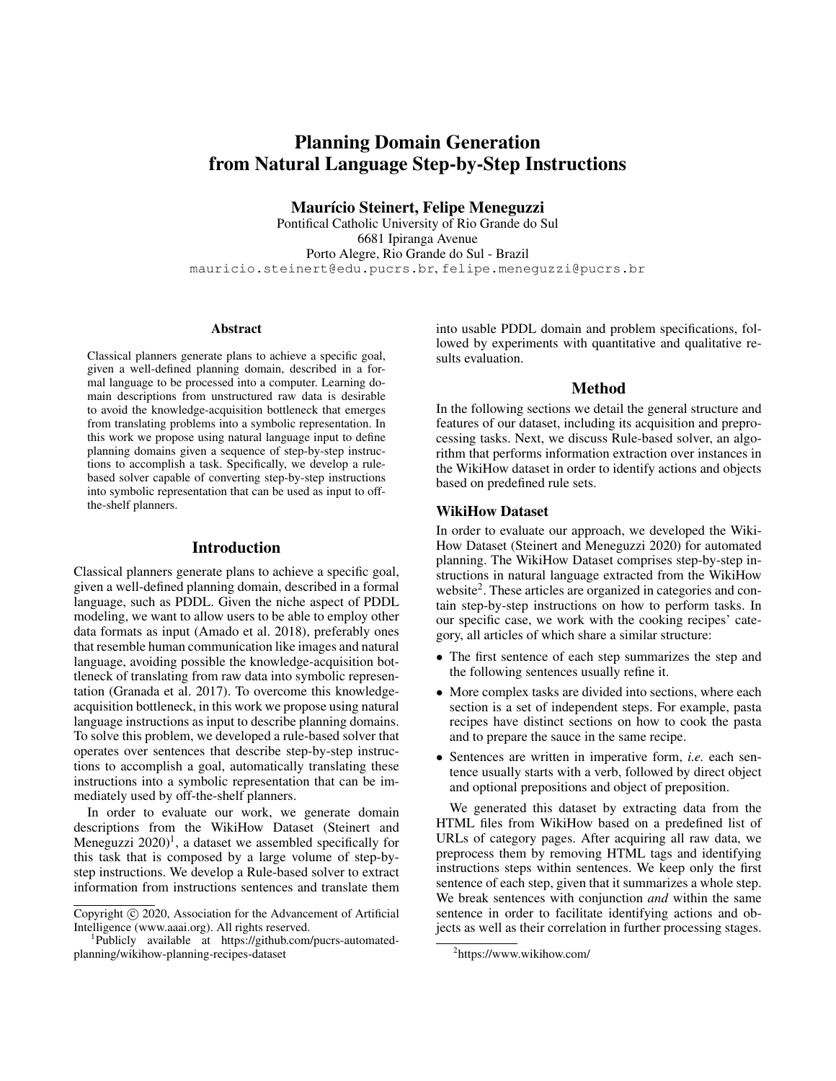# Planning Domain Generation from Natural Language Step-by-Step Instructions

Maurício Steinert, Felipe Meneguzzi

Pontifical Catholic University of Rio Grande do Sul 6681 Ipiranga Avenue Porto Alegre, Rio Grande do Sul - Brazil mauricio.steinert@edu.pucrs.br, felipe.meneguzzi@pucrs.br

#### Abstract

Classical planners generate plans to achieve a specific goal, given a well-defined planning domain, described in a formal language to be processed into a computer. Learning domain descriptions from unstructured raw data is desirable to avoid the knowledge-acquisition bottleneck that emerges from translating problems into a symbolic representation. In this work we propose using natural language input to define planning domains given a sequence of step-by-step instructions to accomplish a task. Specifically, we develop a rulebased solver capable of converting step-by-step instructions into symbolic representation that can be used as input to offthe-shelf planners.

### Introduction

Classical planners generate plans to achieve a specific goal, given a well-defined planning domain, described in a formal language, such as PDDL. Given the niche aspect of PDDL modeling, we want to allow users to be able to employ other data formats as input (Amado et al. 2018), preferably ones that resemble human communication like images and natural language, avoiding possible the knowledge-acquisition bottleneck of translating from raw data into symbolic representation (Granada et al. 2017). To overcome this knowledgeacquisition bottleneck, in this work we propose using natural language instructions as input to describe planning domains. To solve this problem, we developed a rule-based solver that operates over sentences that describe step-by-step instructions to accomplish a goal, automatically translating these instructions into a symbolic representation that can be immediately used by off-the-shelf planners.

In order to evaluate our work, we generate domain descriptions from the WikiHow Dataset (Steinert and Meneguzzi  $2020$ <sup>1</sup>, a dataset we assembled specifically for this task that is composed by a large volume of step-bystep instructions. We develop a Rule-based solver to extract information from instructions sentences and translate them

into usable PDDL domain and problem specifications, followed by experiments with quantitative and qualitative results evaluation.

#### Method

In the following sections we detail the general structure and features of our dataset, including its acquisition and preprocessing tasks. Next, we discuss Rule-based solver, an algorithm that performs information extraction over instances in the WikiHow dataset in order to identify actions and objects based on predefined rule sets.

### WikiHow Dataset

In order to evaluate our approach, we developed the Wiki-How Dataset (Steinert and Meneguzzi 2020) for automated planning. The WikiHow Dataset comprises step-by-step instructions in natural language extracted from the WikiHow website<sup>2</sup>. These articles are organized in categories and contain step-by-step instructions on how to perform tasks. In our specific case, we work with the cooking recipes' category, all articles of which share a similar structure:

- The first sentence of each step summarizes the step and the following sentences usually refine it.
- More complex tasks are divided into sections, where each section is a set of independent steps. For example, pasta recipes have distinct sections on how to cook the pasta and to prepare the sauce in the same recipe.
- Sentences are written in imperative form, *i.e.* each sentence usually starts with a verb, followed by direct object and optional prepositions and object of preposition.

We generated this dataset by extracting data from the HTML files from WikiHow based on a predefined list of URLs of category pages. After acquiring all raw data, we preprocess them by removing HTML tags and identifying instructions steps within sentences. We keep only the first sentence of each step, given that it summarizes a whole step. We break sentences with conjunction *and* within the same sentence in order to facilitate identifying actions and objects as well as their correlation in further processing stages.

Copyright (c) 2020, Association for the Advancement of Artificial Intelligence (www.aaai.org). All rights reserved.

<sup>1</sup> Publicly available at https://github.com/pucrs-automatedplanning/wikihow-planning-recipes-dataset

<sup>2</sup> https://www.wikihow.com/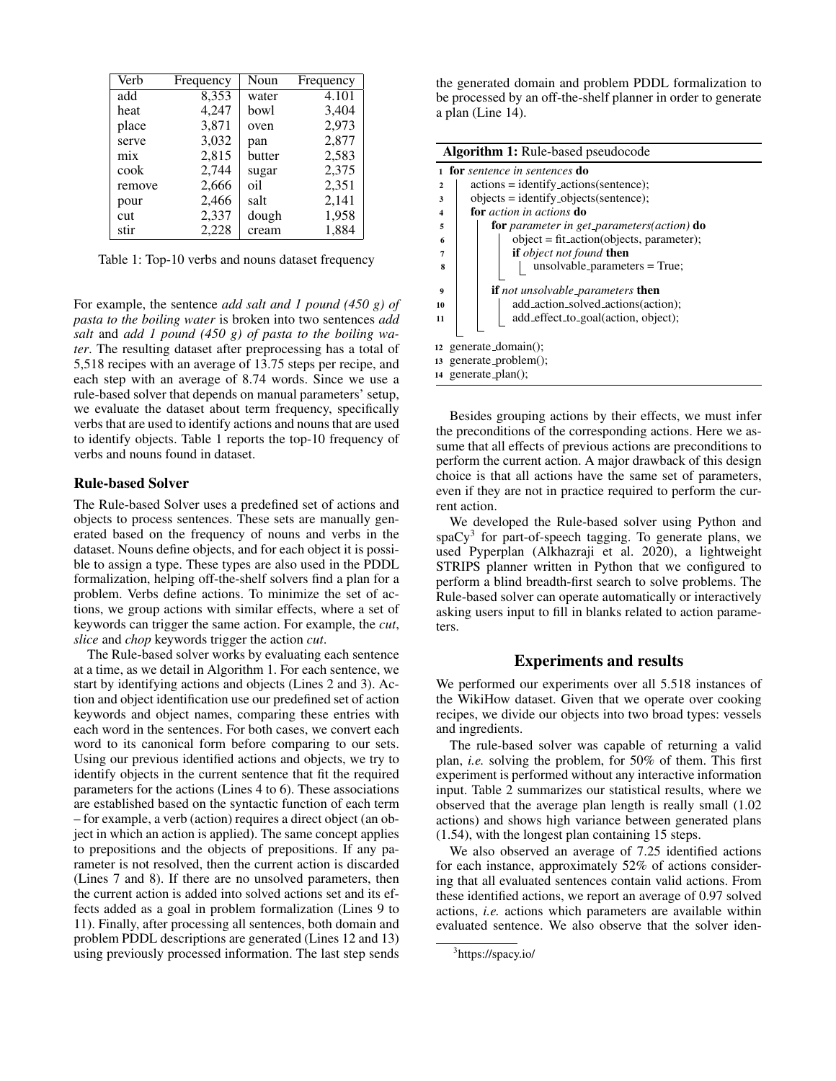| Verb   | Frequency | Noun   | Frequency |
|--------|-----------|--------|-----------|
| add    | 8,353     | water  | 4.101     |
| heat   | 4.247     | bowl   | 3,404     |
| place  | 3,871     | oven   | 2,973     |
| serve  | 3,032     | pan    | 2,877     |
| mix    | 2,815     | butter | 2,583     |
| cook   | 2,744     | sugar  | 2,375     |
| remove | 2,666     | oil    | 2,351     |
| pour   | 2,466     | salt   | 2,141     |
| cut    | 2,337     | dough  | 1,958     |
| stir   | 2,228     | cream  | 1,884     |

Table 1: Top-10 verbs and nouns dataset frequency

For example, the sentence *add salt and 1 pound (450 g) of pasta to the boiling water* is broken into two sentences *add salt* and *add 1 pound (450 g) of pasta to the boiling water*. The resulting dataset after preprocessing has a total of 5,518 recipes with an average of 13.75 steps per recipe, and each step with an average of 8.74 words. Since we use a rule-based solver that depends on manual parameters' setup, we evaluate the dataset about term frequency, specifically verbs that are used to identify actions and nouns that are used to identify objects. Table 1 reports the top-10 frequency of verbs and nouns found in dataset.

### Rule-based Solver

The Rule-based Solver uses a predefined set of actions and objects to process sentences. These sets are manually generated based on the frequency of nouns and verbs in the dataset. Nouns define objects, and for each object it is possible to assign a type. These types are also used in the PDDL formalization, helping off-the-shelf solvers find a plan for a problem. Verbs define actions. To minimize the set of actions, we group actions with similar effects, where a set of keywords can trigger the same action. For example, the *cut*, *slice* and *chop* keywords trigger the action *cut*.

The Rule-based solver works by evaluating each sentence at a time, as we detail in Algorithm 1. For each sentence, we start by identifying actions and objects (Lines 2 and 3). Action and object identification use our predefined set of action keywords and object names, comparing these entries with each word in the sentences. For both cases, we convert each word to its canonical form before comparing to our sets. Using our previous identified actions and objects, we try to identify objects in the current sentence that fit the required parameters for the actions (Lines 4 to 6). These associations are established based on the syntactic function of each term – for example, a verb (action) requires a direct object (an object in which an action is applied). The same concept applies to prepositions and the objects of prepositions. If any parameter is not resolved, then the current action is discarded (Lines 7 and 8). If there are no unsolved parameters, then the current action is added into solved actions set and its effects added as a goal in problem formalization (Lines 9 to 11). Finally, after processing all sentences, both domain and problem PDDL descriptions are generated (Lines 12 and 13) using previously processed information. The last step sends

the generated domain and problem PDDL formalization to be processed by an off-the-shelf planner in order to generate a plan (Line 14).

|                         | <b>Algorithm 1:</b> Rule-based pseudocode                |  |  |  |  |
|-------------------------|----------------------------------------------------------|--|--|--|--|
|                         | for sentence in sentences do                             |  |  |  |  |
| $\overline{2}$          | $actions = identity\_actions(sentence);$                 |  |  |  |  |
| 3                       | $objects = identity_objects(sentence);$                  |  |  |  |  |
| $\overline{\mathbf{4}}$ | for <i>action</i> in <i>actions</i> do                   |  |  |  |  |
| 5                       | <b>for</b> parameter in get_parameters(action) <b>do</b> |  |  |  |  |
| 6                       | $object = fit\_action(objects, parameter);$              |  |  |  |  |
| 7                       | <b>if</b> object not found <b>then</b>                   |  |  |  |  |
| 8                       | unsolvable_parameters = True;                            |  |  |  |  |
| 9                       | <b>if</b> not unsolvable_parameters <b>then</b>          |  |  |  |  |
| 10                      | add_action_solved_actions(action);                       |  |  |  |  |
| 11                      | add_effect_to_goal(action, object);                      |  |  |  |  |
|                         |                                                          |  |  |  |  |
|                         | 12 generate_domain();                                    |  |  |  |  |
|                         | $13$ generate_problem $()$ ;                             |  |  |  |  |
| 14                      | generate_plan();                                         |  |  |  |  |

Besides grouping actions by their effects, we must infer the preconditions of the corresponding actions. Here we assume that all effects of previous actions are preconditions to perform the current action. A major drawback of this design choice is that all actions have the same set of parameters, even if they are not in practice required to perform the current action.

We developed the Rule-based solver using Python and spaCy<sup>3</sup> for part-of-speech tagging. To generate plans, we used Pyperplan (Alkhazraji et al. 2020), a lightweight STRIPS planner written in Python that we configured to perform a blind breadth-first search to solve problems. The Rule-based solver can operate automatically or interactively asking users input to fill in blanks related to action parameters.

### Experiments and results

We performed our experiments over all 5.518 instances of the WikiHow dataset. Given that we operate over cooking recipes, we divide our objects into two broad types: vessels and ingredients.

The rule-based solver was capable of returning a valid plan, *i.e.* solving the problem, for 50% of them. This first experiment is performed without any interactive information input. Table 2 summarizes our statistical results, where we observed that the average plan length is really small (1.02 actions) and shows high variance between generated plans (1.54), with the longest plan containing 15 steps.

We also observed an average of 7.25 identified actions for each instance, approximately 52% of actions considering that all evaluated sentences contain valid actions. From these identified actions, we report an average of 0.97 solved actions, *i.e.* actions which parameters are available within evaluated sentence. We also observe that the solver iden-

<sup>3</sup> https://spacy.io/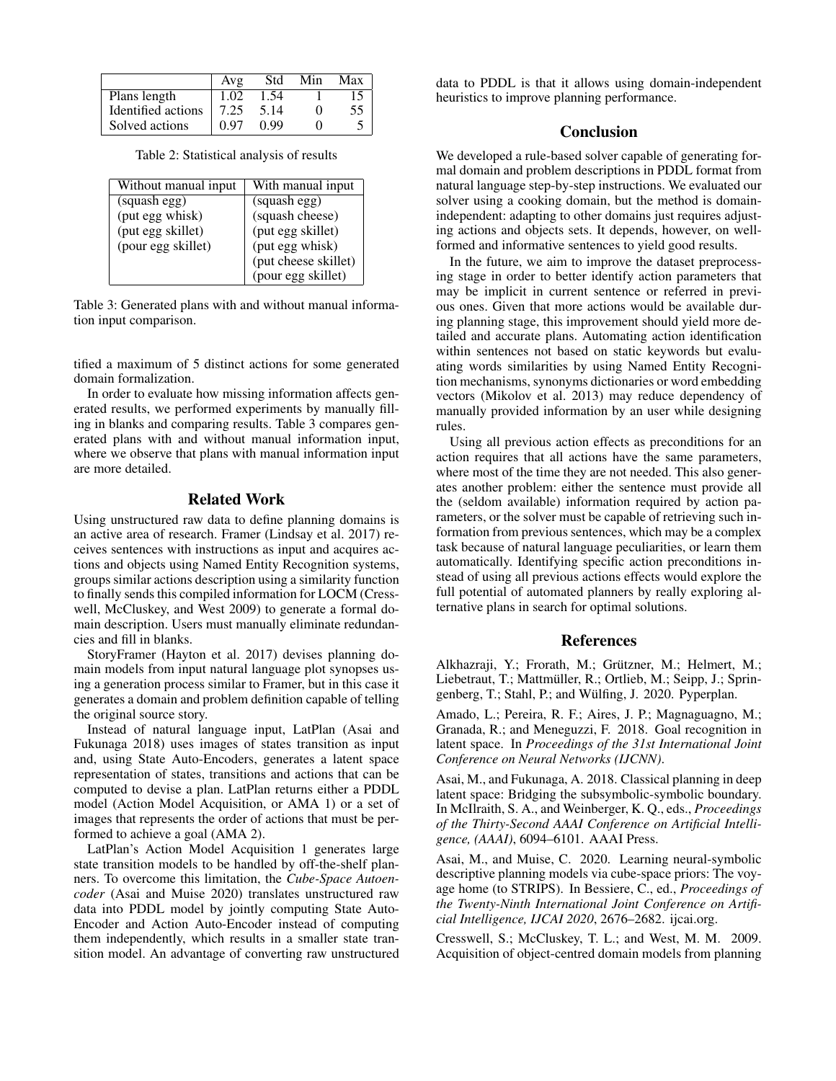|                    | Avg  | Std  | Min | Max |
|--------------------|------|------|-----|-----|
| Plans length       | 1.02 | 1.54 |     |     |
| Identified actions | 7.25 | 5.14 |     | 55  |
| Solved actions     | 0 97 | 0.99 |     |     |

Table 2: Statistical analysis of results

| Without manual input | With manual input    |  |  |
|----------------------|----------------------|--|--|
| (squash egg)         | (squash egg)         |  |  |
| (put egg whisk)      | (squash cheese)      |  |  |
| (put egg skillet)    | (put egg skillet)    |  |  |
| (pour egg skillet)   | (put egg whisk)      |  |  |
|                      | (put cheese skillet) |  |  |
|                      | (pour egg skillet)   |  |  |

Table 3: Generated plans with and without manual information input comparison.

tified a maximum of 5 distinct actions for some generated domain formalization.

In order to evaluate how missing information affects generated results, we performed experiments by manually filling in blanks and comparing results. Table 3 compares generated plans with and without manual information input, where we observe that plans with manual information input are more detailed.

### Related Work

Using unstructured raw data to define planning domains is an active area of research. Framer (Lindsay et al. 2017) receives sentences with instructions as input and acquires actions and objects using Named Entity Recognition systems, groups similar actions description using a similarity function to finally sends this compiled information for LOCM (Cresswell, McCluskey, and West 2009) to generate a formal domain description. Users must manually eliminate redundancies and fill in blanks.

StoryFramer (Hayton et al. 2017) devises planning domain models from input natural language plot synopses using a generation process similar to Framer, but in this case it generates a domain and problem definition capable of telling the original source story.

Instead of natural language input, LatPlan (Asai and Fukunaga 2018) uses images of states transition as input and, using State Auto-Encoders, generates a latent space representation of states, transitions and actions that can be computed to devise a plan. LatPlan returns either a PDDL model (Action Model Acquisition, or AMA 1) or a set of images that represents the order of actions that must be performed to achieve a goal (AMA 2).

LatPlan's Action Model Acquisition 1 generates large state transition models to be handled by off-the-shelf planners. To overcome this limitation, the *Cube-Space Autoencoder* (Asai and Muise 2020) translates unstructured raw data into PDDL model by jointly computing State Auto-Encoder and Action Auto-Encoder instead of computing them independently, which results in a smaller state transition model. An advantage of converting raw unstructured

data to PDDL is that it allows using domain-independent heuristics to improve planning performance.

## **Conclusion**

We developed a rule-based solver capable of generating formal domain and problem descriptions in PDDL format from natural language step-by-step instructions. We evaluated our solver using a cooking domain, but the method is domainindependent: adapting to other domains just requires adjusting actions and objects sets. It depends, however, on wellformed and informative sentences to yield good results.

In the future, we aim to improve the dataset preprocessing stage in order to better identify action parameters that may be implicit in current sentence or referred in previous ones. Given that more actions would be available during planning stage, this improvement should yield more detailed and accurate plans. Automating action identification within sentences not based on static keywords but evaluating words similarities by using Named Entity Recognition mechanisms, synonyms dictionaries or word embedding vectors (Mikolov et al. 2013) may reduce dependency of manually provided information by an user while designing rules.

Using all previous action effects as preconditions for an action requires that all actions have the same parameters, where most of the time they are not needed. This also generates another problem: either the sentence must provide all the (seldom available) information required by action parameters, or the solver must be capable of retrieving such information from previous sentences, which may be a complex task because of natural language peculiarities, or learn them automatically. Identifying specific action preconditions instead of using all previous actions effects would explore the full potential of automated planners by really exploring alternative plans in search for optimal solutions.

#### References

Alkhazraji, Y.; Frorath, M.; Grützner, M.; Helmert, M.; Liebetraut, T.; Mattmüller, R.; Ortlieb, M.; Seipp, J.; Springenberg, T.; Stahl, P.; and Wülfing, J. 2020. Pyperplan.

Amado, L.; Pereira, R. F.; Aires, J. P.; Magnaguagno, M.; Granada, R.; and Meneguzzi, F. 2018. Goal recognition in latent space. In *Proceedings of the 31st International Joint Conference on Neural Networks (IJCNN)*.

Asai, M., and Fukunaga, A. 2018. Classical planning in deep latent space: Bridging the subsymbolic-symbolic boundary. In McIlraith, S. A., and Weinberger, K. Q., eds., *Proceedings of the Thirty-Second AAAI Conference on Artificial Intelligence, (AAAI)*, 6094–6101. AAAI Press.

Asai, M., and Muise, C. 2020. Learning neural-symbolic descriptive planning models via cube-space priors: The voyage home (to STRIPS). In Bessiere, C., ed., *Proceedings of the Twenty-Ninth International Joint Conference on Artificial Intelligence, IJCAI 2020*, 2676–2682. ijcai.org.

Cresswell, S.; McCluskey, T. L.; and West, M. M. 2009. Acquisition of object-centred domain models from planning